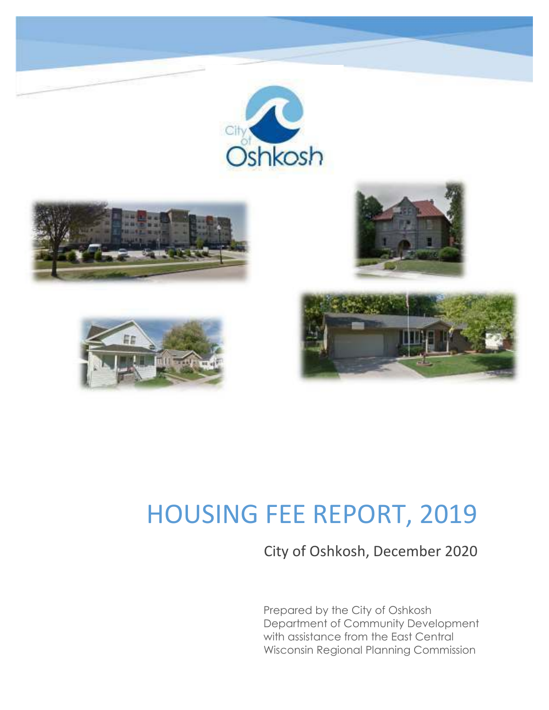

# HOUSING FEE REPORT, 2019

City of Oshkosh, December 2020

Prepared by the City of Oshkosh Department of Community Development with assistance from the East Central Wisconsin Regional Planning Commission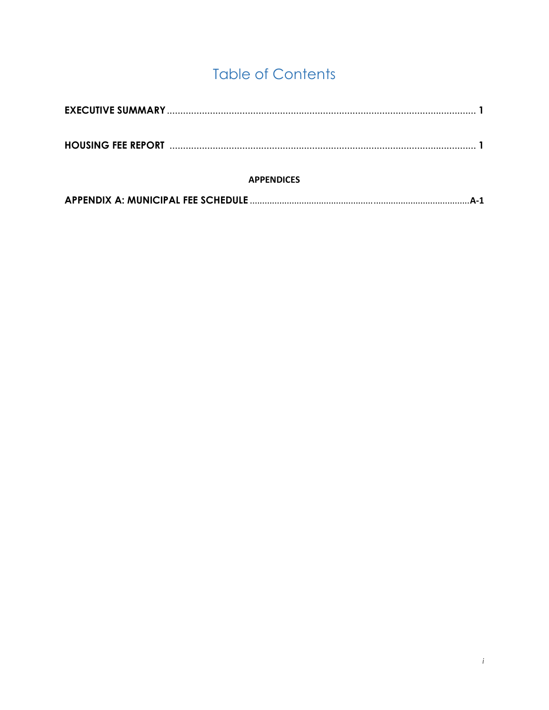# **Table of Contents**

| <b>APPENDICES</b> |  |
|-------------------|--|
|                   |  |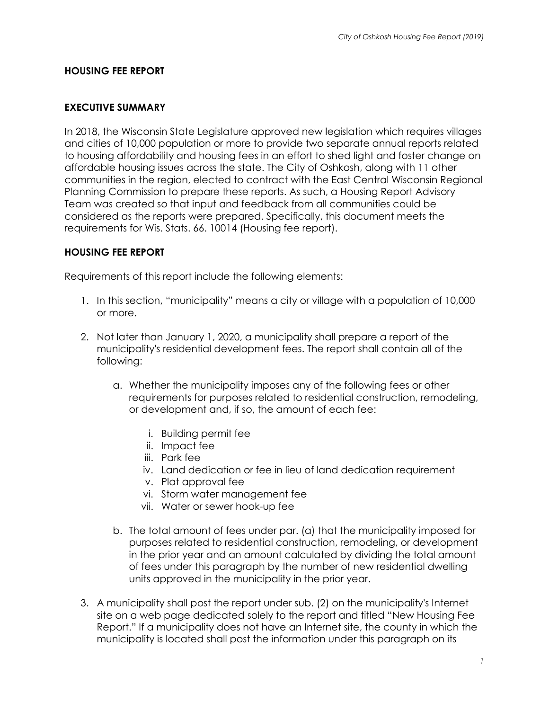#### **HOUSING FEE REPORT**

#### **EXECUTIVE SUMMARY**

In 2018, the Wisconsin State Legislature approved new legislation which requires villages and cities of 10,000 population or more to provide two separate annual reports related to housing affordability and housing fees in an effort to shed light and foster change on affordable housing issues across the state. The City of Oshkosh, along with 11 other communities in the region, elected to contract with the East Central Wisconsin Regional Planning Commission to prepare these reports. As such, a Housing Report Advisory Team was created so that input and feedback from all communities could be considered as the reports were prepared. Specifically, this document meets the requirements for Wis. Stats. 66. 10014 (Housing fee report).

#### **HOUSING FEE REPORT**

Requirements of this report include the following elements:

- 1. In this section, "municipality" means a city or village with a population of 10,000 or more.
- 2. Not later than January 1, 2020, a municipality shall prepare a report of the municipality's residential development fees. The report shall contain all of the following:
	- a. Whether the municipality imposes any of the following fees or other requirements for purposes related to residential construction, remodeling, or development and, if so, the amount of each fee:
		- i. Building permit fee
		- ii. Impact fee
		- iii. Park fee
		- iv. Land dedication or fee in lieu of land dedication requirement
		- v. Plat approval fee
		- vi. Storm water management fee
		- vii. Water or sewer hook-up fee
	- b. The total amount of fees under par. (a) that the municipality imposed for purposes related to residential construction, remodeling, or development in the prior year and an amount calculated by dividing the total amount of fees under this paragraph by the number of new residential dwelling units approved in the municipality in the prior year.
- 3. A municipality shall post the report under sub. (2) on the municipality's Internet site on a web page dedicated solely to the report and titled "New Housing Fee Report." If a municipality does not have an Internet site, the county in which the municipality is located shall post the information under this paragraph on its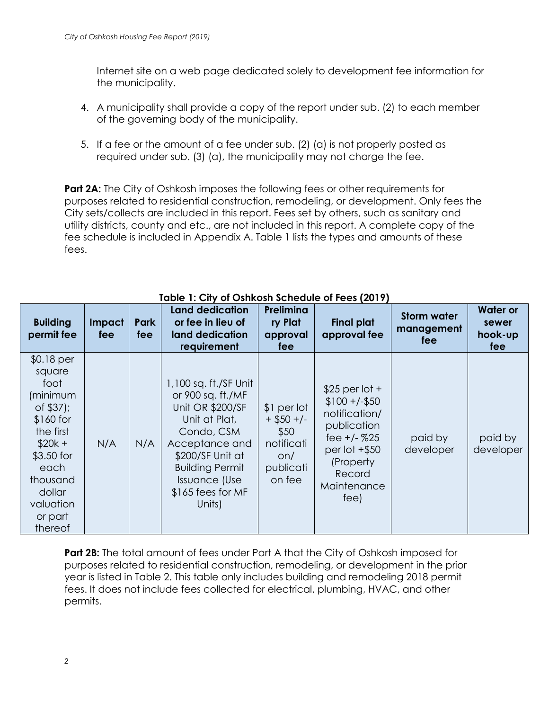Internet site on a web page dedicated solely to development fee information for the municipality.

- 4. A municipality shall provide a copy of the report under sub. (2) to each member of the governing body of the municipality.
- 5. If a fee or the amount of a fee under sub. (2) (a) is not properly posted as required under sub. (3) (a), the municipality may not charge the fee.

**Part 2A:** The City of Oshkosh imposes the following fees or other requirements for purposes related to residential construction, remodeling, or development. Only fees the City sets/collects are included in this report. Fees set by others, such as sanitary and utility districts, county and etc., are not included in this report. A complete copy of the fee schedule is included in Appendix A. Table 1 lists the types and amounts of these fees.

| <b>Building</b><br>permit fee                                                                                                                                               | Impact<br>fee | <b>Park</b><br>fee | <b>Land dedication</b><br>or fee in lieu of<br>land dedication<br>requirement                                                                                                                                        | Prelimina<br>ry Plat<br>approval<br>fee                                         | <b>Final plat</b><br>approval fee                                                                                                                       | <b>Storm water</b><br>management<br>fee | <b>Water or</b><br>sewer<br>hook-up<br>fee |
|-----------------------------------------------------------------------------------------------------------------------------------------------------------------------------|---------------|--------------------|----------------------------------------------------------------------------------------------------------------------------------------------------------------------------------------------------------------------|---------------------------------------------------------------------------------|---------------------------------------------------------------------------------------------------------------------------------------------------------|-----------------------------------------|--------------------------------------------|
| $$0.18$ per<br>square<br>foot<br>(minimum<br>of \$37);<br>\$160 for<br>the first<br>$$20k +$<br>\$3.50 for<br>each<br>thousand<br>dollar<br>valuation<br>or part<br>thereof | N/A           | N/A                | 1,100 sq. ft./SF Unit<br>or 900 sq. ft./MF<br>Unit OR \$200/SF<br>Unit at Plat,<br>Condo, CSM<br>Acceptance and<br>\$200/SF Unit at<br><b>Building Permit</b><br><b>Issuance (Use</b><br>\$165 fees for MF<br>Units) | \$1 per lot<br>$+$ \$50 +/-<br>\$50<br>notificati<br>on/<br>publicati<br>on fee | $$25$ per lot +<br>$$100 + (-\$50)$<br>notification/<br>publication<br>fee $+/-$ %25<br>per lot $+$ \$50<br>(Property)<br>Record<br>Maintenance<br>fee) | paid by<br>developer                    | paid by<br>developer                       |

### **Table 1: City of Oshkosh Schedule of Fees (2019)**

**Part 2B:** The total amount of fees under Part A that the City of Oshkosh imposed for purposes related to residential construction, remodeling, or development in the prior year is listed in Table 2. This table only includes building and remodeling 2018 permit fees. It does not include fees collected for electrical, plumbing, HVAC, and other permits.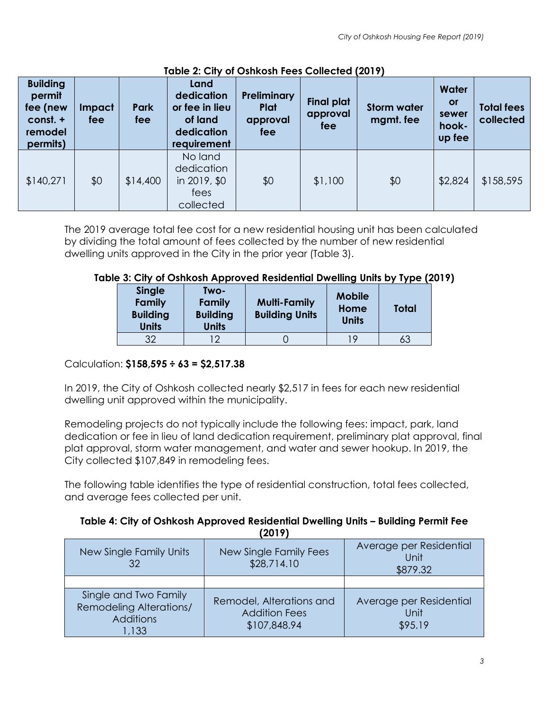| <b>Building</b><br>permit<br>fee (new<br>const. +<br>remodel<br>permits) | Impact<br>fee | <b>Park</b><br>fee | Land<br>dedication<br>or fee in lieu<br>of land<br>dedication<br>requirement | <b>Preliminary</b><br>Plat<br>approval<br>fee | <b>Final plat</b><br>approval<br>fee | <b>Storm water</b><br>mgmt. fee | Water<br>or<br>sewer<br>hook-<br>up fee | <b>Total fees</b><br>collected |
|--------------------------------------------------------------------------|---------------|--------------------|------------------------------------------------------------------------------|-----------------------------------------------|--------------------------------------|---------------------------------|-----------------------------------------|--------------------------------|
| \$140,271                                                                | \$0           | \$14,400           | No land<br>dedication<br>in 2019, \$0<br>fees<br>collected                   | \$0                                           | \$1,100                              | \$0                             | \$2,824                                 | \$158,595                      |

### **Table 2: City of Oshkosh Fees Collected (2019)**

The 2019 average total fee cost for a new residential housing unit has been calculated by dividing the total amount of fees collected by the number of new residential dwelling units approved in the City in the prior year (Table 3).

### **Table 3: City of Oshkosh Approved Residential Dwelling Units by Type (2019)**

| <b>Single</b><br><b>Family</b><br><b>Building</b><br><b>Units</b> | Two-<br>Family<br><b>Building</b><br><b>Units</b> | <b>Multi-Family</b><br><b>Building Units</b> | <b>Mobile</b><br>Home<br><b>Units</b> | <b>Total</b> |
|-------------------------------------------------------------------|---------------------------------------------------|----------------------------------------------|---------------------------------------|--------------|
| 32                                                                | ר ו                                               |                                              | 19                                    | 63           |

### Calculation: **\$158,595 ÷ 63 = \$2,517.38**

In 2019, the City of Oshkosh collected nearly \$2,517 in fees for each new residential dwelling unit approved within the municipality.

Remodeling projects do not typically include the following fees: impact, park, land dedication or fee in lieu of land dedication requirement, preliminary plat approval, final plat approval, storm water management, and water and sewer hookup. In 2019, the City collected \$107,849 in remodeling fees.

The following table identifies the type of residential construction, total fees collected, and average fees collected per unit.

#### **Table 4: City of Oshkosh Approved Residential Dwelling Units – Building Permit Fee (2019)**

| New Single Family Units<br>32                                                        | New Single Family Fees<br>\$28,714.10                            | Average per Residential<br>Unit<br>\$879.32 |
|--------------------------------------------------------------------------------------|------------------------------------------------------------------|---------------------------------------------|
| Single and Two Family<br><b>Remodeling Alterations/</b><br><b>Additions</b><br>1,133 | Remodel, Alterations and<br><b>Addition Fees</b><br>\$107,848.94 | Average per Residential<br>Unit<br>\$95.19  |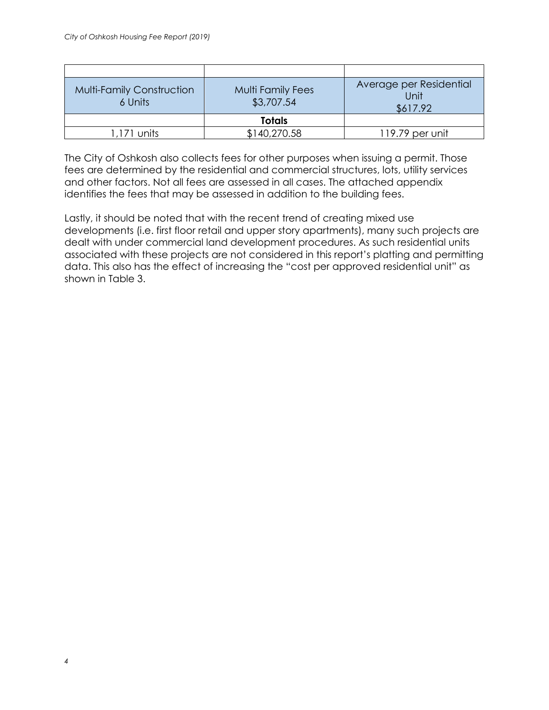| <b>Multi-Family Construction</b><br>6 Units | <b>Multi Family Fees</b><br>\$3,707.54 | Average per Residential<br>Unit<br>\$617.92 |
|---------------------------------------------|----------------------------------------|---------------------------------------------|
|                                             | <b>Totals</b>                          |                                             |
| $1,171$ units                               | \$140,270.58                           | 119.79 per unit                             |

The City of Oshkosh also collects fees for other purposes when issuing a permit. Those fees are determined by the residential and commercial structures, lots, utility services and other factors. Not all fees are assessed in all cases. The attached appendix identifies the fees that may be assessed in addition to the building fees.

Lastly, it should be noted that with the recent trend of creating mixed use developments (i.e. first floor retail and upper story apartments), many such projects are dealt with under commercial land development procedures. As such residential units associated with these projects are not considered in this report's platting and permitting data. This also has the effect of increasing the "cost per approved residential unit" as shown in Table 3.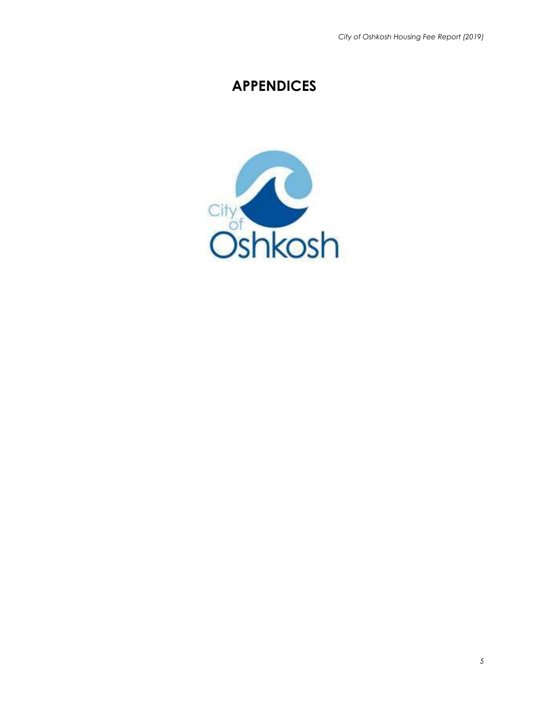# **APPENDICES**

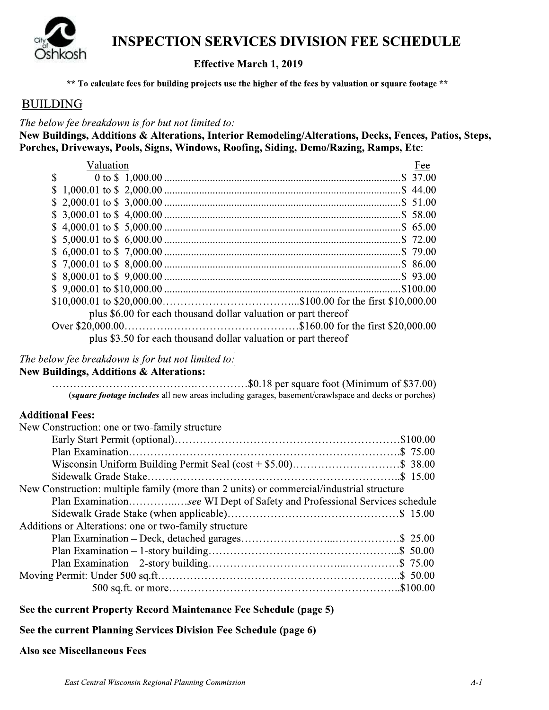

### **INSPECTION SERVICES DIVISION FEE SCHEDULE**

### Effective March 1, 2019

\*\* To calculate fees for building projects use the higher of the fees by valuation or square footage \*\*

### **BUILDING**

The below fee breakdown is for but not limited to:

New Buildings, Additions & Alterations, Interior Remodeling/Alterations, Decks, Fences, Patios, Steps, Porches, Driveways, Pools, Signs, Windows, Roofing, Siding, Demo/Razing, Ramps, Etc:

| Valuation                                                      | Fee |
|----------------------------------------------------------------|-----|
| $\mathcal{S}$                                                  |     |
|                                                                |     |
|                                                                |     |
|                                                                |     |
|                                                                |     |
|                                                                |     |
|                                                                |     |
|                                                                |     |
|                                                                |     |
|                                                                |     |
|                                                                |     |
| plus \$6.00 for each thousand dollar valuation or part thereof |     |
|                                                                |     |
| plus \$3.50 for each thousand dollar valuation or part thereof |     |

### The below fee breakdown is for but not limited to:

### New Buildings, Additions & Alterations:

 $\cdots$   $\cdots$   $\cdots$   $\cdots$   $\cdots$   $\cdots$   $\cdots$   $\cdots$   $\cdots$   $\cdots$   $\cdots$   $\cdots$   $\cdots$   $\cdots$   $\cdots$   $\cdots$   $\cdots$   $\cdots$   $\cdots$   $\cdots$   $\cdots$   $\cdots$   $\cdots$   $\cdots$   $\cdots$   $\cdots$   $\cdots$   $\cdots$   $\cdots$   $\cdots$   $\cdots$   $\cdots$   $\cdots$   $\cdots$   $\cdots$   $\cdots$   $\cdots$ (square footage includes all new areas including garages, basement/crawlspace and decks or porches)

### **Additional Fees:**

| New Construction: one or two-family structure                                            |
|------------------------------------------------------------------------------------------|
|                                                                                          |
|                                                                                          |
|                                                                                          |
|                                                                                          |
| New Construction: multiple family (more than 2 units) or commercial/industrial structure |
| Plan Examinationsee WI Dept of Safety and Professional Services schedule                 |
|                                                                                          |
| Additions or Alterations: one or two-family structure                                    |
|                                                                                          |
|                                                                                          |
|                                                                                          |
|                                                                                          |
|                                                                                          |

#### See the current Property Record Maintenance Fee Schedule (page 5)

#### See the current Planning Services Division Fee Schedule (page 6)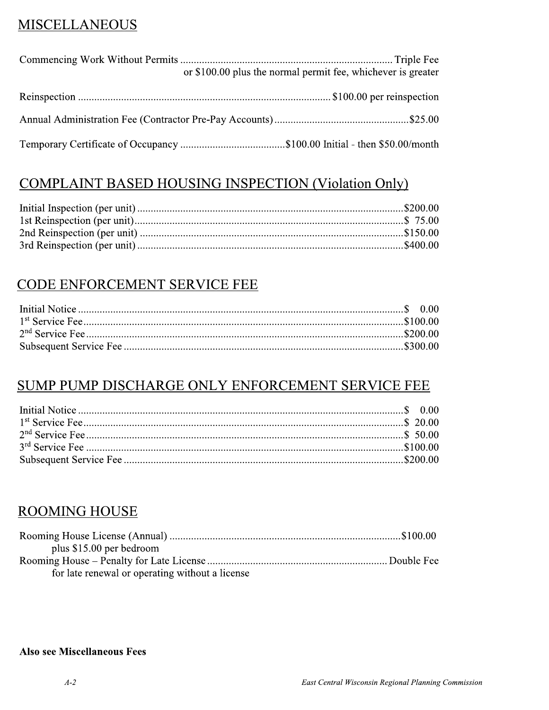### **MISCELLANEOUS**

| or \$100.00 plus the normal permit fee, whichever is greater |
|--------------------------------------------------------------|
|                                                              |
|                                                              |
|                                                              |

### **COMPLAINT BASED HOUSING INSPECTION (Violation Only)**

### CODE ENFORCEMENT SERVICE FEE

### SUMP PUMP DISCHARGE ONLY ENFORCEMENT SERVICE FEE

### **ROOMING HOUSE**

| plus $$15.00$ per bedroom                       |  |
|-------------------------------------------------|--|
|                                                 |  |
| for late renewal or operating without a license |  |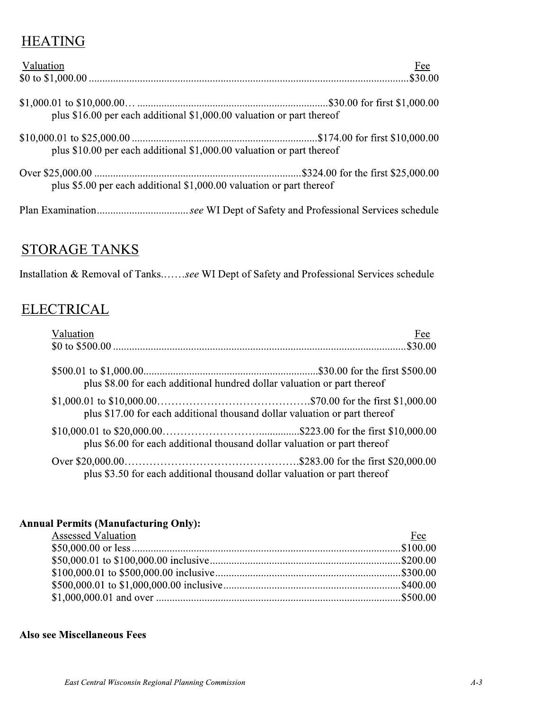### **HEATING**

| Valuation                                                             | Fee |
|-----------------------------------------------------------------------|-----|
|                                                                       |     |
|                                                                       |     |
|                                                                       |     |
| plus \$16.00 per each additional \$1,000.00 valuation or part thereof |     |
| plus \$10.00 per each additional \$1,000.00 valuation or part thereof |     |
| plus \$5.00 per each additional \$1,000.00 valuation or part thereof  |     |
|                                                                       |     |

### STORAGE TANKS

Installation & Removal of Tanks.......see WI Dept of Safety and Professional Services schedule

### ELECTRICAL

| Valuation                                                                  | Fee |
|----------------------------------------------------------------------------|-----|
|                                                                            |     |
|                                                                            |     |
| plus \$8.00 for each additional hundred dollar valuation or part thereof   |     |
| plus \$17.00 for each additional thousand dollar valuation or part thereof |     |
| plus \$6.00 for each additional thousand dollar valuation or part thereof  |     |
| plus \$3.50 for each additional thousand dollar valuation or part thereof  |     |

### Annual Permits (Manufacturing Only):

| <b>Assessed Valuation</b> | Fee |
|---------------------------|-----|
|                           |     |
|                           |     |
|                           |     |
|                           |     |
|                           |     |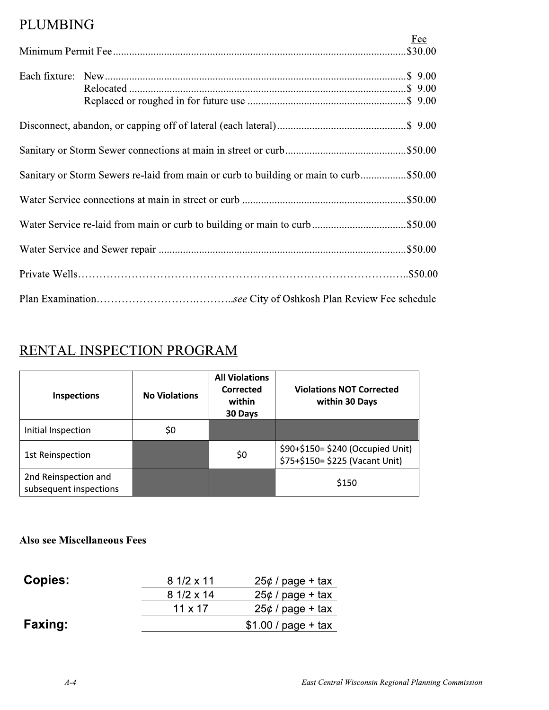### PLUMBING

|                                                                                       | Fee |
|---------------------------------------------------------------------------------------|-----|
|                                                                                       |     |
|                                                                                       |     |
|                                                                                       |     |
| Sanitary or Storm Sewers re-laid from main or curb to building or main to curb\$50.00 |     |
|                                                                                       |     |
|                                                                                       |     |
|                                                                                       |     |
|                                                                                       |     |
|                                                                                       |     |

# RENTAL INSPECTION PROGRAM

| <b>No Violations</b> | <b>All Violations</b><br>Corrected<br>within<br>30 Days | <b>Violations NOT Corrected</b><br>within 30 Days                    |  |
|----------------------|---------------------------------------------------------|----------------------------------------------------------------------|--|
| \$0                  |                                                         |                                                                      |  |
|                      | \$0                                                     | \$90+\$150= \$240 (Occupied Unit)<br>\$75+\$150= \$225 (Vacant Unit) |  |
|                      |                                                         | \$150                                                                |  |
|                      |                                                         |                                                                      |  |

| <b>Copies:</b> | $81/2 \times 11$ | $25¢$ / page + tax   |
|----------------|------------------|----------------------|
|                | $81/2 \times 14$ | $25¢$ / page + tax   |
|                | $11 \times 17$   | $25¢$ / page + tax   |
| <b>Faxing:</b> |                  | $$1.00 / page + tax$ |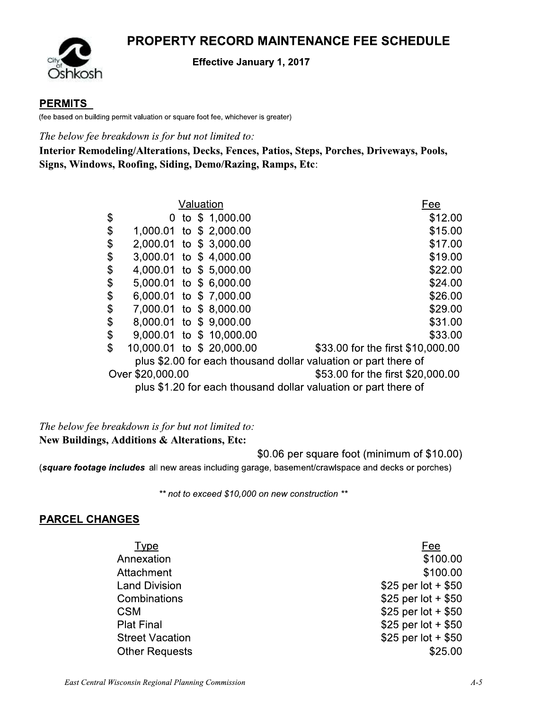### **PROPERTY RECORD MAINTENANCE FEE SCHEDULE**



#### **Effective January 1, 2017**

### **PERMITS**

(fee based on building permit valuation or square foot fee, whichever is greater)

The below fee breakdown is for but not limited to:

Interior Remodeling/Alterations, Decks, Fences, Patios, Steps, Porches, Driveways, Pools, Signs, Windows, Roofing, Siding, Demo/Razing, Ramps, Etc:

|                              |  | Valuation                 | Fee                                                             |
|------------------------------|--|---------------------------|-----------------------------------------------------------------|
| \$                           |  | 0 to $$1,000.00$          | \$12.00                                                         |
| \$                           |  | 1,000.01 to \$ 2,000.00   | \$15.00                                                         |
| \$                           |  | 2,000.01 to \$3,000.00    | \$17.00                                                         |
| \$                           |  | 3,000.01 to \$4,000.00    | \$19.00                                                         |
| \$<br>4,000.01 to \$5,000.00 |  |                           | \$22.00                                                         |
| \$                           |  | 5,000.01 to \$6,000.00    | \$24.00                                                         |
| \$<br>6,000.01 to \$7,000.00 |  |                           | \$26.00                                                         |
| \$                           |  | 7,000.01 to \$8,000.00    | \$29.00                                                         |
| \$<br>8,000.01 to \$9,000.00 |  |                           | \$31.00                                                         |
| \$                           |  | 9,000.01 to \$10,000.00   | \$33.00                                                         |
| \$                           |  | 10,000.01 to \$ 20,000.00 | \$33.00 for the first \$10,000.00                               |
|                              |  |                           | plus \$2.00 for each thousand dollar valuation or part there of |
| Over \$20,000.00             |  |                           | \$53.00 for the first \$20,000.00                               |
|                              |  |                           | plus \$1.20 for each thousand dollar valuation or part there of |

The below fee breakdown is for but not limited to: New Buildings, Additions & Alterations, Etc:

\$0.06 per square foot (minimum of \$10.00)

(square footage includes all new areas including garage, basement/crawlspace and decks or porches)

\*\* not to exceed \$10,000 on new construction \*\*

### **PARCEL CHANGES**

Type Annexation Attachment **Land Division** Combinations **CSM Plat Final Street Vacation Other Requests** 

Fee \$100.00 \$100.00 \$25 per lot +  $$50$ \$25 per lot +  $$50$ \$25 per lot +  $$50$ \$25 per lot +  $$50$ \$25 per lot +  $$50$ \$25.00

East Central Wisconsin Regional Planning Commission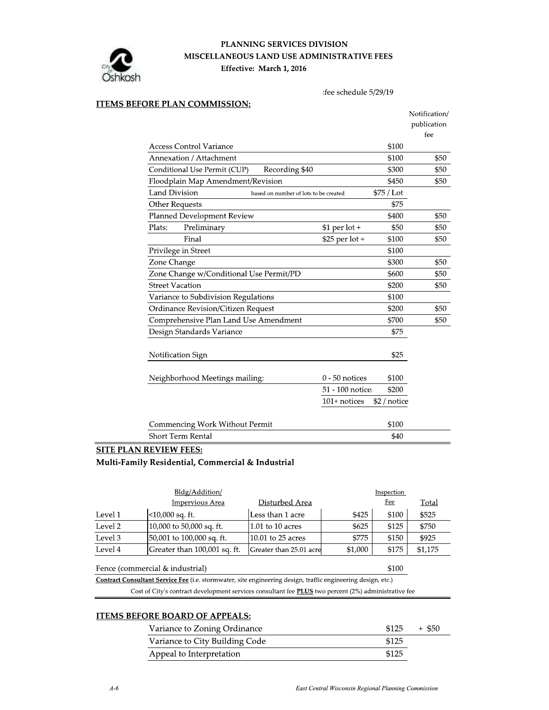

#### PLANNING SERVICES DIVISION MISCELLANEOUS LAND USE ADMINISTRATIVE FEES Effective: March 1, 2016

:fee schedule 5/29/19

#### **ITEMS BEFORE PLAN COMMISSION:**

|                                                               |                  |              | Notification/ |
|---------------------------------------------------------------|------------------|--------------|---------------|
|                                                               |                  |              | publication   |
|                                                               |                  |              | fee           |
| <b>Access Control Variance</b>                                |                  | \$100        |               |
| Annexation / Attachment                                       |                  | \$100        | \$50          |
| Conditional Use Permit (CUP)<br>Recording \$40                |                  | \$300        | \$50          |
| Floodplain Map Amendment/Revision                             |                  | \$450        | \$50          |
| <b>Land Division</b><br>based on number of lots to be created |                  | \$75 / Lot   |               |
| Other Requests                                                |                  | \$75         |               |
| Planned Development Review                                    |                  | \$400        | \$50          |
| Plats:<br>Preliminary                                         | $$1$ per lot +   | \$50         | \$50          |
| Final                                                         | \$25 per lot +   | \$100        | \$50          |
| Privilege in Street                                           |                  | \$100        |               |
| Zone Change                                                   |                  | \$300        | \$50          |
| Zone Change w/Conditional Use Permit/PD                       |                  | \$600        | \$50          |
| <b>Street Vacation</b>                                        |                  | \$200        | \$50          |
| Variance to Subdivision Regulations                           |                  | \$100        |               |
| Ordinance Revision/Citizen Request                            |                  | \$200        | \$50          |
| Comprehensive Plan Land Use Amendment                         |                  | \$700        | \$50          |
| Design Standards Variance                                     |                  | \$75         |               |
| Notification Sign                                             |                  | \$25         |               |
|                                                               |                  |              |               |
| Neighborhood Meetings mailing:                                | $0 - 50$ notices | \$100        |               |
|                                                               | 51 - 100 notice: | \$200        |               |
|                                                               | $101+$ notices   | \$2 / notice |               |
| Commencing Work Without Permit                                |                  | \$100        |               |
| <b>Short Term Rental</b>                                      |                  | \$40         |               |

#### SITE PLAN REVIEW FEES:

Multi-Family Residential, Commercial & Industrial

|                                                                                                                                                               | Inspection                   |                         |         |                      |              |
|---------------------------------------------------------------------------------------------------------------------------------------------------------------|------------------------------|-------------------------|---------|----------------------|--------------|
|                                                                                                                                                               | Impervious Area              | Disturbed Area          |         | Fee                  | <b>Total</b> |
| Level 1                                                                                                                                                       | <10,000 sq. ft.              | Less than 1 acre        | \$425   | \$100                | \$525        |
| Level 2                                                                                                                                                       | 10,000 to 50,000 sq. ft.     | $1.01$ to 10 acres      | \$625   | \$125                | \$750        |
| Level 3                                                                                                                                                       | 50,001 to 100,000 sq. ft.    | $10.01$ to 25 acres     | \$775   | \$150                | \$925        |
| Level 4                                                                                                                                                       | Greater than 100,001 sq. ft. | Greater than 25.01 acre | \$1,000 | \$175                | \$1,175      |
| <b>Contract Contract Contract Contract</b><br>the contract of the contract of the contract of the contract of the contract of the contract of the contract of | .                            |                         |         | $\sim$ $\sim$ $\sim$ |              |

Fence (commercial  $\&$  industrial)  $$100$ Contract Consultant Service Fee (i.e. stormwater, site engineering design, traffic engineering design, etc.)

Cost of City's contract development services consultant fee **PLUS** two percent (2%) administrative fee

#### **ITEMS BEFORE BOARD OF APPEALS:**

| Variance to Zoning Ordinance   | \$125 | + \$50 |
|--------------------------------|-------|--------|
| Variance to City Building Code | \$125 |        |
| Appeal to Interpretation       | \$125 |        |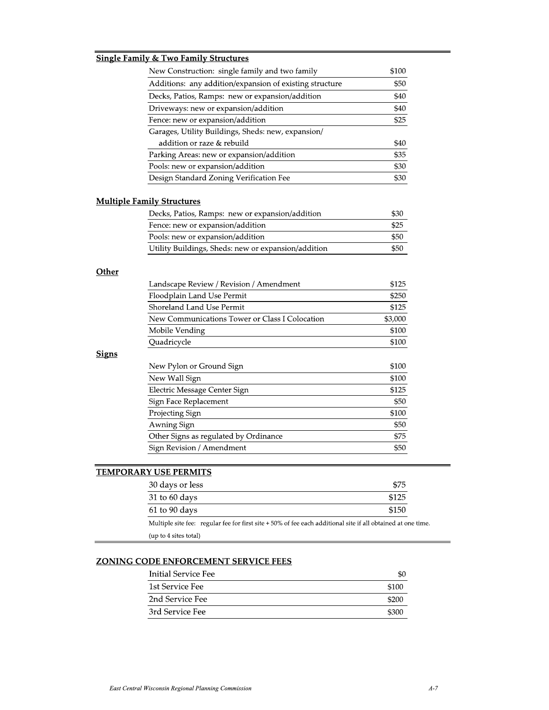|              | <b>Single Family &amp; Two Family Structures</b>        |         |
|--------------|---------------------------------------------------------|---------|
|              | New Construction: single family and two family          | \$100   |
|              | Additions: any addition/expansion of existing structure | \$50    |
|              | Decks, Patios, Ramps: new or expansion/addition         | \$40    |
|              | Driveways: new or expansion/addition                    | \$40    |
|              | Fence: new or expansion/addition                        | \$25    |
|              | Garages, Utility Buildings, Sheds: new, expansion/      |         |
|              | addition or raze & rebuild                              | \$40    |
|              | Parking Areas: new or expansion/addition                | \$35    |
|              | Pools: new or expansion/addition                        | \$30    |
|              | Design Standard Zoning Verification Fee                 | \$30    |
|              | <b>Multiple Family Structures</b>                       |         |
|              | Decks, Patios, Ramps: new or expansion/addition         | \$30    |
|              | Fence: new or expansion/addition                        | \$25    |
|              | Pools: new or expansion/addition                        | \$50    |
|              | Utility Buildings, Sheds: new or expansion/addition     | \$50    |
| Other        |                                                         |         |
|              | Landscape Review / Revision / Amendment                 | \$125   |
|              | Floodplain Land Use Permit                              | \$250   |
|              | Shoreland Land Use Permit                               | \$125   |
|              | New Communications Tower or Class I Colocation          | \$3,000 |
|              | Mobile Vending                                          | \$100   |
|              | Quadricycle                                             | \$100   |
| <b>Signs</b> |                                                         |         |
|              | New Pylon or Ground Sign                                | \$100   |
|              | New Wall Sign                                           | \$100   |
|              | Electric Message Center Sign                            | \$125   |
|              | Sign Face Replacement                                   | \$50    |
|              | Projecting Sign                                         | \$100   |
|              | Awning Sign                                             | \$50    |
|              | Other Signs as regulated by Ordinance                   | \$75    |
|              | Sign Revision / Amendment                               | \$50    |
|              |                                                         |         |

# **TEMPORARY USE PERMITS**

| 30 days or less                                                                                             | \$75  |
|-------------------------------------------------------------------------------------------------------------|-------|
| $31$ to 60 days                                                                                             | \$125 |
| $61$ to $90$ days                                                                                           | \$150 |
| Multiple site fee: regular fee for first site +50% of fee each additional site if all obtained at one time. |       |
| (up to 4 sites total)                                                                                       |       |

### **ZONING CODE ENFORCEMENT SERVICE FEES**

| Initial Service Fee | \$0   |
|---------------------|-------|
| 1st Service Fee     | \$100 |
| 2nd Service Fee     | \$200 |
| 3rd Service Fee     | \$300 |

 $\overline{ }$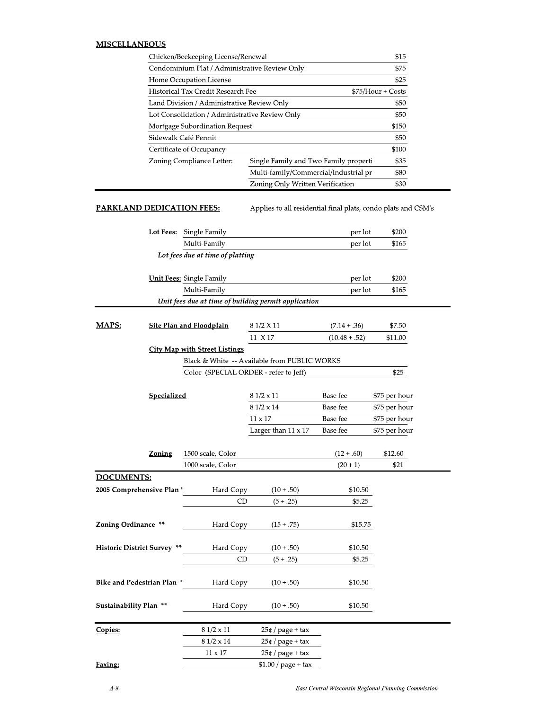#### **MISCELLANEOUS**

| Chicken/Beekeeping License/Renewal             |                                       |                    |
|------------------------------------------------|---------------------------------------|--------------------|
| Condominium Plat / Administrative Review Only  |                                       | \$75               |
| Home Occupation License                        |                                       | \$25               |
| Historical Tax Credit Research Fee             |                                       | $$75/Hour + Costs$ |
| Land Division / Administrative Review Only     |                                       | \$50               |
| Lot Consolidation / Administrative Review Only |                                       | \$50               |
| Mortgage Subordination Request                 |                                       | \$150              |
| Sidewalk Café Permit                           |                                       | \$50               |
| Certificate of Occupancy                       |                                       | \$100              |
| Zoning Compliance Letter:                      | Single Family and Two Family properti | \$35               |
|                                                | Multi-family/Commercial/Industrial pr | \$80               |
|                                                | Zoning Only Written Verification      | \$30               |

#### **PARKLAND DEDICATION FEES:**

Applies to all residential final plats, condo plats and CSM's

|                                    |                    | <b>Lot Fees:</b> Single Family        |                                                      | per lot         | \$200<br>\$165 |
|------------------------------------|--------------------|---------------------------------------|------------------------------------------------------|-----------------|----------------|
|                                    |                    | Multi-Family                          |                                                      | per lot         |                |
|                                    |                    | Lot fees due at time of platting      |                                                      |                 |                |
|                                    |                    | <b>Unit Fees:</b> Single Family       |                                                      | per lot         | \$200          |
|                                    |                    | Multi-Family                          |                                                      | per lot         | \$165          |
|                                    |                    |                                       | Unit fees due at time of building permit application |                 |                |
|                                    |                    |                                       |                                                      |                 |                |
| MAPS:                              |                    | <b>Site Plan and Floodplain</b>       | 8 1/2 X 11                                           | $(7.14 + .36)$  | \$7.50         |
|                                    |                    |                                       | 11 X 17                                              | $(10.48 + .52)$ | \$11.00        |
|                                    |                    | <b>City Map with Street Listings</b>  |                                                      |                 |                |
|                                    |                    |                                       | Black & White -- Available from PUBLIC WORKS         |                 |                |
|                                    |                    | Color (SPECIAL ORDER - refer to Jeff) |                                                      |                 | \$25           |
|                                    |                    |                                       |                                                      |                 |                |
|                                    | <u>Specialized</u> |                                       | $81/2 \times 11$                                     | Base fee        | \$75 per hour  |
|                                    |                    |                                       | 8 1/2 x 14                                           | Base fee        | \$75 per hour  |
|                                    |                    |                                       | $11 \times 17$                                       | Base fee        | \$75 per hour  |
|                                    |                    |                                       | Larger than $11 \times 17$                           | Base fee        | \$75 per hour  |
|                                    | <b>Zoning</b>      | 1500 scale, Color                     |                                                      | $(12+.60)$      | \$12.60        |
|                                    |                    | 1000 scale, Color                     |                                                      | $(20 + 1)$      | \$21           |
| DOCUMENTS:                         |                    |                                       |                                                      |                 |                |
| 2005 Comprehensive Plan *          |                    | Hard Copy                             | $(10+.50)$                                           | \$10.50         |                |
|                                    |                    | CD                                    | $(5+.25)$                                            | \$5.25          |                |
|                                    |                    |                                       |                                                      |                 |                |
| Zoning Ordinance **                |                    | Hard Copy                             | $(15+.75)$                                           | \$15.75         |                |
|                                    |                    |                                       |                                                      |                 |                |
| <b>Historic District Survey **</b> |                    | Hard Copy                             | $(10+.50)$                                           | \$10.50         |                |
|                                    |                    | CD                                    | $(5+.25)$                                            | \$5.25          |                |
|                                    |                    |                                       |                                                      |                 |                |
| Bike and Pedestrian Plan *         |                    | Hard Copy                             | $(10+.50)$                                           | \$10.50         |                |
|                                    |                    |                                       |                                                      |                 |                |
| <b>Sustainability Plan **</b>      |                    | Hard Copy                             | $(10+.50)$                                           | \$10.50         |                |
| Copies:                            |                    | $81/2 \times 11$                      | $25¢$ / page + tax                                   |                 |                |
|                                    |                    | $8\;1/2 \ge 14$                       | $25¢$ / page + tax                                   |                 |                |
|                                    |                    | $11 \times 17$                        | $25¢$ / page + tax                                   |                 |                |
| Faxing:                            |                    |                                       | $$1.00 / page + tax$                                 |                 |                |